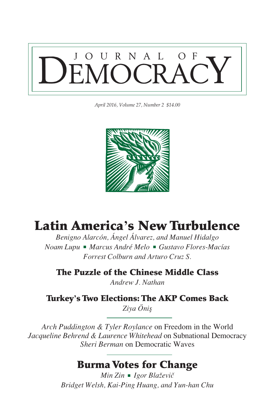

*April 2016, Volume 27, Number 2 \$14.00*



# Latin America**'**s New Turbulence

*Benigno Alarcón, Ángel Álvarez, and Manuel Hidalgo Noam Lupu Marcus André Melo Gustavo Flores-Macías Forrest Colburn and Arturo Cruz S.*

The Puzzle of the Chinese Middle Class

*Andrew J. Nathan*

Turkey**'**s Two Elections: The AKP Comes Back Ziya Öniş

*Arch Puddington & Tyler Roylance* on Freedom in the World *Jacqueline Behrend & Laurence Whitehead* on Subnational Democracy *Sheri Berman* on Democratic Waves

## Burma Votes for Change

*Min Zin Igor Blaževiè Bridget Welsh, Kai-Ping Huang, and Yun-han Chu*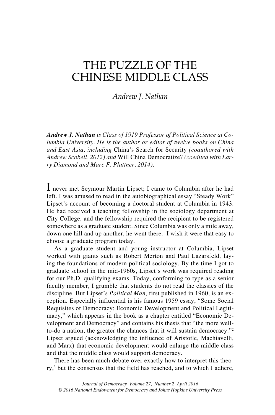## The Puzzle of the Chinese Middle Class

*Andrew J. Nathan*

*Andrew J. Nathan is Class of 1919 Professor of Political Science at Columbia University. He is the author or editor of twelve books on China and East Asia, including* China's Search for Security *(coauthored with Andrew Scobell, 2012) and* Will China Democratize? *(coedited with Larry Diamond and Marc F. Plattner, 2014).* 

I never met Seymour Martin Lipset; I came to Columbia after he had left. I was amused to read in the autobiographical essay "Steady Work" Lipset's account of becoming a doctoral student at Columbia in 1943. He had received a teaching fellowship in the sociology department at City College, and the fellowship required the recipient to be registered somewhere as a graduate student. Since Columbia was only a mile away, down one hill and up another, he went there.<sup>1</sup> I wish it were that easy to choose a graduate program today.

As a graduate student and young instructor at Columbia, Lipset worked with giants such as Robert Merton and Paul Lazarsfeld, laying the foundations of modern political sociology. By the time I got to graduate school in the mid-1960s, Lipset's work was required reading for our Ph.D. qualifying exams. Today, conforming to type as a senior faculty member, I grumble that students do not read the classics of the discipline. But Lipset's *Political Man,* first published in 1960, is an exception. Especially influential is his famous 1959 essay, "Some Social Requisites of Democracy: Economic Development and Political Legitimacy," which appears in the book as a chapter entitled "Economic Development and Democracy" and contains his thesis that "the more wellto-do a nation, the greater the chances that it will sustain democracy."2 Lipset argued (acknowledging the influence of Aristotle, Machiavelli, and Marx) that economic development would enlarge the middle class and that the middle class would support democracy.

There has been much debate over exactly how to interpret this theory,<sup>3</sup> but the consensus that the field has reached, and to which I adhere,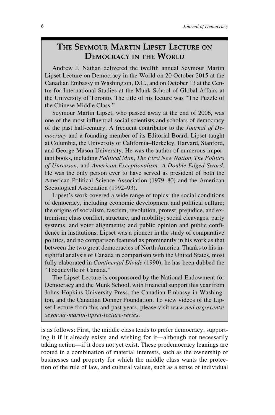## **The Seymour Martin Lipset Lecture on Democracy in the World**

Andrew J. Nathan delivered the twelfth annual Seymour Martin Lipset Lecture on Democracy in the World on 20 October 2015 at the Canadian Embassy in Washington, D.C., and on October 13 at the Centre for International Studies at the Munk School of Global Affairs at the University of Toronto. The title of his lecture was "The Puzzle of the Chinese Middle Class."

Seymour Martin Lipset, who passed away at the end of 2006, was one of the most influential social scientists and scholars of democracy of the past half-century. A frequent contributor to the *Journal of Democracy* and a founding member of its Editorial Board, Lipset taught at Columbia, the University of California–Berkeley, Harvard, Stanford, and George Mason University. He was the author of numerous important books, including *Political Man, The First New Nation, The Politics of Unreason,* and *American Exceptionalism: A Double-Edged Sword.* He was the only person ever to have served as president of both the American Political Science Association (1979–80) and the American Sociological Association (1992–93).

Lipset's work covered a wide range of topics: the social conditions of democracy, including economic development and political culture; the origins of socialism, fascism, revolution, protest, prejudice, and extremism; class conflict, structure, and mobility; social cleavages, party systems, and voter alignments; and public opinion and public confidence in institutions. Lipset was a pioneer in the study of comparative politics, and no comparison featured as prominently in his work as that between the two great democracies of North America. Thanks to his insightful analysis of Canada in comparison with the United States, most fully elaborated in *Continental Divide* (1990), he has been dubbed the "Tocqueville of Canada."

The Lipset Lecture is cosponsored by the National Endowment for Democracy and the Munk School, with financial support this year from Johns Hopkins University Press, the Canadian Embassy in Washington, and the Canadian Donner Foundation. To view videos of the Lipset Lecture from this and past years, please visit *www.ned.org/events/ seymour-martin-lipset-lecture-series.*

is as follows: First, the middle class tends to prefer democracy, supporting it if it already exists and wishing for it—although not necessarily taking action—if it does not yet exist. These prodemocracy leanings are rooted in a combination of material interests, such as the ownership of businesses and property for which the middle class wants the protection of the rule of law, and cultural values, such as a sense of individual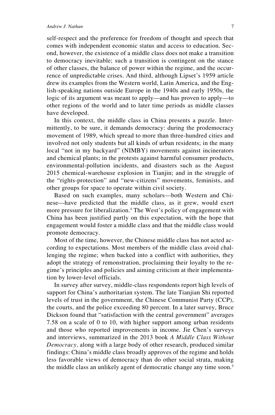self-respect and the preference for freedom of thought and speech that comes with independent economic status and access to education. Second, however, the existence of a middle class does not make a transition to democracy inevitable; such a transition is contingent on the stance of other classes, the balance of power within the regime, and the occurrence of unpredictable crises. And third, although Lipset's 1959 article drew its examples from the Western world, Latin America, and the English-speaking nations outside Europe in the 1940s and early 1950s, the logic of its argument was meant to apply—and has proven to apply—to other regions of the world and to later time periods as middle classes have developed.

In this context, the middle class in China presents a puzzle. Intermittently, to be sure, it demands democracy: during the prodemocracy movement of 1989, which spread to more than three-hundred cities and involved not only students but all kinds of urban residents; in the many local "not in my backyard" (NIMBY) movements against incinerators and chemical plants; in the protests against harmful consumer products, environmental-pollution incidents, and disasters such as the August 2015 chemical-warehouse explosion in Tianjin; and in the struggle of the "rights-protection" and "new-citizens" movements, feminists, and other groups for space to operate within civil society.

Based on such examples, many scholars—both Western and Chinese—have predicted that the middle class, as it grew, would exert more pressure for liberalization.<sup>4</sup> The West's policy of engagement with China has been justified partly on this expectation, with the hope that engagement would foster a middle class and that the middle class would promote democracy.

Most of the time, however, the Chinese middle class has not acted according to expectations. Most members of the middle class avoid challenging the regime; when backed into a conflict with authorities, they adopt the strategy of remonstration, proclaiming their loyalty to the regime's principles and policies and aiming criticism at their implementation by lower-level officials.

In survey after survey, middle-class respondents report high levels of support for China's authoritarian system. The late Tianjian Shi reported levels of trust in the government, the Chinese Communist Party (CCP), the courts, and the police exceeding 80 percent. In a later survey, Bruce Dickson found that "satisfaction with the central government" averages 7.58 on a scale of 0 to 10, with higher support among urban residents and those who reported improvements in income. Jie Chen's surveys and interviews, summarized in the 2013 book *A Middle Class Without Democracy,* along with a large body of other research, produced similar findings: China's middle class broadly approves of the regime and holds less favorable views of democracy than do other social strata, making the middle class an unlikely agent of democratic change any time soon.5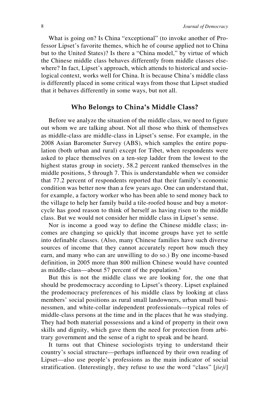What is going on? Is China "exceptional" (to invoke another of Professor Lipset's favorite themes, which he of course applied not to China but to the United States)? Is there a "China model," by virtue of which the Chinese middle class behaves differently from middle classes elsewhere? In fact, Lipset's approach, which attends to historical and sociological context, works well for China. It is because China's middle class is differently placed in some critical ways from those that Lipset studied that it behaves differently in some ways, but not all.

### **Who Belongs to China's Middle Class?**

Before we analyze the situation of the middle class, we need to figure out whom we are talking about. Not all those who think of themselves as middle-class are middle-class in Lipset's sense. For example, in the 2008 Asian Barometer Survey (ABS), which samples the entire population (both urban and rural) except for Tibet, when respondents were asked to place themselves on a ten-step ladder from the lowest to the highest status group in society, 58.2 percent ranked themselves in the middle positions, 5 through 7. This is understandable when we consider that 77.2 percent of respondents reported that their family's economic condition was better now than a few years ago. One can understand that, for example, a factory worker who has been able to send money back to the village to help her family build a tile-roofed house and buy a motorcycle has good reason to think of herself as having risen to the middle class. But we would not consider her middle class in Lipset's sense.

Nor is income a good way to define the Chinese middle class; incomes are changing so quickly that income groups have yet to settle into definable classes. (Also, many Chinese families have such diverse sources of income that they cannot accurately report how much they earn, and many who can are unwilling to do so.) By one income-based definition, in 2005 more than 800 million Chinese would have counted as middle-class—about 57 percent of the population.6

But this is not the middle class we are looking for, the one that should be prodemocracy according to Lipset's theory. Lipset explained the prodemocracy preferences of his middle class by looking at class members' social positions as rural small landowners, urban small businessmen, and white-collar independent professionals—typical roles of middle-class persons at the time and in the places that he was studying. They had both material possessions and a kind of property in their own skills and dignity, which gave them the need for protection from arbitrary government and the sense of a right to speak and be heard.

It turns out that Chinese sociologists trying to understand their country's social structure—perhaps influenced by their own reading of Lipset—also use people's professions as the main indicator of social stratification. (Interestingly, they refuse to use the word "class" [*jieji*]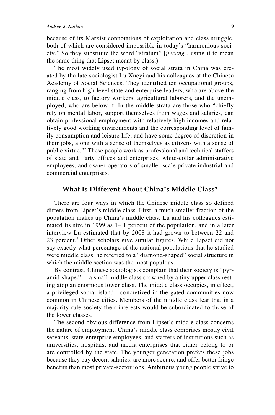because of its Marxist connotations of exploitation and class struggle, both of which are considered impossible in today's "harmonious society." So they substitute the word "stratum" [*jieceng*], using it to mean the same thing that Lipset meant by class.)

The most widely used typology of social strata in China was created by the late sociologist Lu Xueyi and his colleagues at the Chinese Academy of Social Sciences. They identified ten occupational groups, ranging from high-level state and enterprise leaders, who are above the middle class, to factory workers, agricultural laborers, and the unemployed, who are below it. In the middle strata are those who "chiefly rely on mental labor, support themselves from wages and salaries, can obtain professional employment with relatively high incomes and relatively good working environments and the corresponding level of family consumption and leisure life, and have some degree of discretion in their jobs, along with a sense of themselves as citizens with a sense of public virtue."7 These people work as professional and technical staffers of state and Party offices and enterprises, white-collar administrative employees, and owner-operators of smaller-scale private industrial and commercial enterprises.

### **What Is Different About China's Middle Class?**

There are four ways in which the Chinese middle class so defined differs from Lipset's middle class. First, a much smaller fraction of the population makes up China's middle class. Lu and his colleagues estimated its size in 1999 as 14.1 percent of the population, and in a later interview Lu estimated that by 2008 it had grown to between 22 and 23 percent.8 Other scholars give similar figures. While Lipset did not say exactly what percentage of the national populations that he studied were middle class, he referred to a "diamond-shaped" social structure in which the middle section was the most populous.

By contrast, Chinese sociologists complain that their society is "pyramid-shaped"—a small middle class crowned by a tiny upper class resting atop an enormous lower class. The middle class occupies, in effect, a privileged social island—concretized in the gated communities now common in Chinese cities. Members of the middle class fear that in a majority-rule society their interests would be subordinated to those of the lower classes.

The second obvious difference from Lipset's middle class concerns the nature of employment. China's middle class comprises mostly civil servants, state-enterprise employees, and staffers of institutions such as universities, hospitals, and media enterprises that either belong to or are controlled by the state. The younger generation prefers these jobs because they pay decent salaries, are more secure, and offer better fringe benefits than most private-sector jobs. Ambitious young people strive to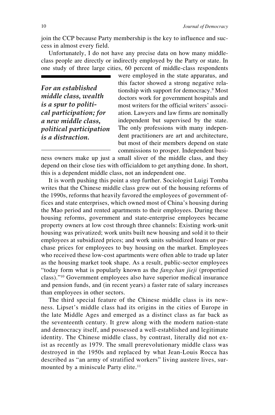join the CCP because Party membership is the key to influence and success in almost every field.

Unfortunately, I do not have any precise data on how many middleclass people are directly or indirectly employed by the Party or state. In one study of three large cities, 60 percent of middle-class respondents

*For an established middle class, wealth is a spur to political participation; for a new middle class, political participation is a distraction.* 

were employed in the state apparatus, and this factor showed a strong negative relationship with support for democracy.9 Most doctors work for government hospitals and most writers for the official writers' association. Lawyers and law firms are nominally independent but supervised by the state. The only professions with many independent practitioners are art and architecture, but most of their members depend on state commissions to prosper. Independent busi-

ness owners make up just a small sliver of the middle class, and they depend on their close ties with officialdom to get anything done. In short, this is a dependent middle class, not an independent one.

It is worth pushing this point a step further. Sociologist Luigi Tomba writes that the Chinese middle class grew out of the housing reforms of the 1990s, reforms that heavily favored the employees of government offices and state enterprises, which owned most of China's housing during the Mao period and rented apartments to their employees. During these housing reforms, government and state-enterprise employees became property owners at low cost through three channels: Existing work-unit housing was privatized; work units built new housing and sold it to their employees at subsidized prices; and work units subsidized loans or purchase prices for employees to buy housing on the market. Employees who received these low-cost apartments were often able to trade up later as the housing market took shape. As a result, public-sector employees "today form what is popularly known as the *fangchan jieji* (propertied class)."10 Government employees also have superior medical insurance and pension funds, and (in recent years) a faster rate of salary increases than employees in other sectors.

The third special feature of the Chinese middle class is its newness. Lipset's middle class had its origins in the cities of Europe in the late Middle Ages and emerged as a distinct class as far back as the seventeenth century. It grew along with the modern nation-state and democracy itself, and possessed a well-established and legitimate identity. The Chinese middle class, by contrast, literally did not exist as recently as 1979. The small prerevolutionary middle class was destroyed in the 1950s and replaced by what Jean-Louis Rocca has described as "an army of stratified workers" living austere lives, surmounted by a miniscule Party elite.<sup>11</sup>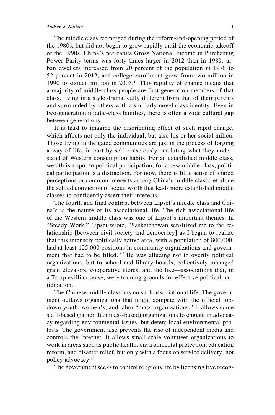The middle class reemerged during the reform-and-opening period of the 1980s, but did not begin to grow rapidly until the economic takeoff of the 1990s. China's per capita Gross National Income in Purchasing Power Parity terms was forty times larger in 2012 than in 1980; urban dwellers increased from 20 percent of the population in 1978 to 52 percent in 2012; and college enrollment grew from two million in 1990 to sixteen million in 2005.12 This rapidity of change means that a majority of middle-class people are first-generation members of that class, living in a style dramatically different from that of their parents and surrounded by others with a similarly novel class identity. Even in two-generation middle-class families, there is often a wide cultural gap between generations.

It is hard to imagine the disorienting effect of such rapid change, which affects not only the individual, but also his or her social milieu. Those living in the gated communities are just in the process of forging a way of life, in part by self-consciously emulating what they understand of Western consumption habits. For an established middle class, wealth is a spur to political participation; for a new middle class, political participation is a distraction. For now, there is little sense of shared perceptions or common interests among China's middle class, let alone the settled conviction of social worth that leads more established middle classes to confidently assert their interests.

The fourth and final contrast between Lipset's middle class and China's is the nature of its associational life. The rich associational life of the Western middle class was one of Lipset's important themes. In "Steady Work," Lipset wrote, "Saskatchewan sensitized me to the relationship [between civil society and democracy] as I began to realize that this intensely politically active area, with a population of 800,000, had at least 125,000 positions in community organizations and government that had to be filled."13 He was alluding not to overtly political organizations, but to school and library boards, collectively managed grain elevators, cooperative stores, and the like—associations that, in a Tocquevillian sense, were training grounds for effective political participation.

The Chinese middle class has no such associational life. The government outlaws organizations that might compete with the official topdown youth, women's, and labor "mass organizations." It allows some staff-based (rather than mass-based) organizations to engage in advocacy regarding environmental issues, but deters local environmental protests. The government also prevents the rise of independent media and controls the Internet. It allows small-scale volunteer organizations to work in areas such as public health, environmental protection, education reform, and disaster relief, but only with a focus on service delivery, not policy advocacy.14

The government seeks to control religious life by licensing five recog-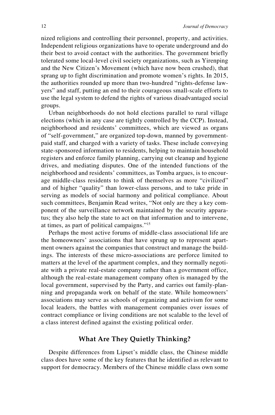nized religions and controlling their personnel, property, and activities. Independent religious organizations have to operate underground and do their best to avoid contact with the authorities. The government briefly tolerated some local-level civil society organizations, such as Yirenping and the New Citizen's Movement (which have now been crushed), that sprang up to fight discrimination and promote women's rights. In 2015, the authorities rounded up more than two-hundred "rights-defense lawyers" and staff, putting an end to their courageous small-scale efforts to use the legal system to defend the rights of various disadvantaged social groups.

Urban neighborhoods do not hold elections parallel to rural village elections (which in any case are tightly controlled by the CCP). Instead, neighborhood and residents' committees, which are viewed as organs of "self-government," are organized top-down, manned by governmentpaid staff, and charged with a variety of tasks. These include conveying state-sponsored information to residents, helping to maintain household registers and enforce family planning, carrying out cleanup and hygiene drives, and mediating disputes. One of the intended functions of the neighborhood and residents' committees, as Tomba argues, is to encourage middle-class residents to think of themselves as more "civilized" and of higher "quality" than lower-class persons, and to take pride in serving as models of social harmony and political compliance. About such committees, Benjamin Read writes, "Not only are they a key component of the surveillance network maintained by the security apparatus; they also help the state to act on that information and to intervene, at times, as part of political campaigns."15

Perhaps the most active forums of middle-class associational life are the homeowners' associations that have sprung up to represent apartment owners against the companies that construct and manage the buildings. The interests of these micro-associations are perforce limited to matters at the level of the apartment complex, and they normally negotiate with a private real-estate company rather than a government office, although the real-estate management company often is managed by the local government, supervised by the Party, and carries out family-planning and propaganda work on behalf of the state. While homeowners' associations may serve as schools of organizing and activism for some local leaders, the battles with management companies over issues of contract compliance or living conditions are not scalable to the level of a class interest defined against the existing political order.

## **What Are They Quietly Thinking?**

Despite differences from Lipset's middle class, the Chinese middle class does have some of the key features that he identified as relevant to support for democracy. Members of the Chinese middle class own some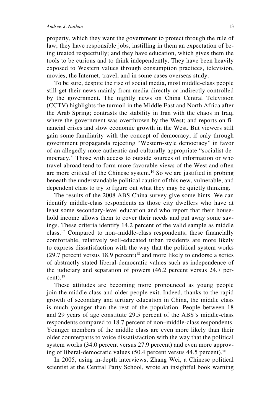property, which they want the government to protect through the rule of law; they have responsible jobs, instilling in them an expectation of being treated respectfully; and they have education, which gives them the tools to be curious and to think independently. They have been heavily exposed to Western values through consumption practices, television, movies, the Internet, travel, and in some cases overseas study.

To be sure, despite the rise of social media, most middle-class people still get their news mainly from media directly or indirectly controlled by the government. The nightly news on China Central Television (CCTV) highlights the turmoil in the Middle East and North Africa after the Arab Spring; contrasts the stability in Iran with the chaos in Iraq, where the government was overthrown by the West; and reports on financial crises and slow economic growth in the West. But viewers still gain some familiarity with the concept of democracy, if only through government propaganda rejecting "Western-style democracy" in favor of an allegedly more authentic and culturally appropriate "socialist democracy." Those with access to outside sources of information or who travel abroad tend to form more favorable views of the West and often are more critical of the Chinese system.16 So we are justified in probing beneath the understandable political caution of this new, vulnerable, and dependent class to try to figure out what they may be quietly thinking.

The results of the 2008 ABS China survey give some hints. We can identify middle-class respondents as those city dwellers who have at least some secondary-level education and who report that their household income allows them to cover their needs and put away some savings. These criteria identify 14.2 percent of the valid sample as middle class.17 Compared to non–middle-class respondents, these financially comfortable, relatively well-educated urban residents are more likely to express dissatisfaction with the way that the political system works  $(29.7)$  percent versus 18.9 percent)<sup>18</sup> and more likely to endorse a series of abstractly stated liberal-democratic values such as independence of the judiciary and separation of powers (46.2 percent versus 24.7 per $cent$ ).<sup>19</sup>

These attitudes are becoming more pronounced as young people join the middle class and older people exit. Indeed, thanks to the rapid growth of secondary and tertiary education in China, the middle class is much younger than the rest of the population. People between 18 and 29 years of age constitute 29.5 percent of the ABS's middle-class respondents compared to 18.7 percent of non–middle-class respondents. Younger members of the middle class are even more likely than their older counterparts to voice dissatisfaction with the way that the political system works (34.0 percent versus 27.9 percent) and even more approving of liberal-democratic values  $(50.4$  percent versus 44.5 percent).<sup>20</sup>

In 2005, using in-depth interviews, Zhang Wei, a Chinese political scientist at the Central Party School, wrote an insightful book warning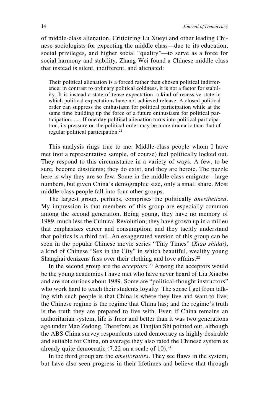of middle-class alienation. Criticizing Lu Xueyi and other leading Chinese sociologists for expecting the middle class—due to its education, social privileges, and higher social "quality"—to serve as a force for social harmony and stability, Zhang Wei found a Chinese middle class that instead is silent, indifferent, and alienated:

Their political alienation is a forced rather than chosen political indifference; in contrast to ordinary political coldness, it is not a factor for stability. It is instead a state of tense expectation, a kind of recessive state in which political expectations have not achieved release. A closed political order can suppress the enthusiasm for political participation while at the same time building up the force of a future enthusiasm for political participation. . . . If one day political alienation turns into political participation, its pressure on the political order may be more dramatic than that of regular political participation.21

This analysis rings true to me. Middle-class people whom I have met (not a representative sample, of course) feel politically locked out. They respond to this circumstance in a variety of ways. A few, to be sure, become dissidents; they do exist, and they are heroic. The puzzle here is why they are so few. Some in the middle class emigrate—large numbers, but given China's demographic size, only a small share. Most middle-class people fall into four other groups.

The largest group, perhaps, comprises the politically *anesthetized*. My impression is that members of this group are especially common among the second generation. Being young, they have no memory of 1989, much less the Cultural Revolution; they have grown up in a milieu that emphasizes career and consumption; and they tacitly understand that politics is a third rail. An exaggerated version of this group can be seen in the popular Chinese movie series "Tiny Times" (*Xiao shidai)*, a kind of Chinese "Sex in the City" in which beautiful, wealthy young Shanghai denizens fuss over their clothing and love affairs.<sup>22</sup>

In the second group are the *acceptors*. 23 Among the acceptors would be the young academics I have met who have never heard of Liu Xiaobo and are not curious about 1989. Some are "political-thought instructors" who work hard to teach their students loyalty. The sense I get from talking with such people is that China is where they live and want to live; the Chinese regime is the regime that China has; and the regime's truth is the truth they are prepared to live with. Even if China remains an authoritarian system, life is freer and better than it was two generations ago under Mao Zedong. Therefore, as Tianjian Shi pointed out, although the ABS China survey respondents rated democracy as highly desirable and suitable for China, on average they also rated the Chinese system as already quite democratic  $(7.22 \text{ on a scale of } 10).^{24}$ 

In the third group are the *ameliorators.* They see flaws in the system, but have also seen progress in their lifetimes and believe that through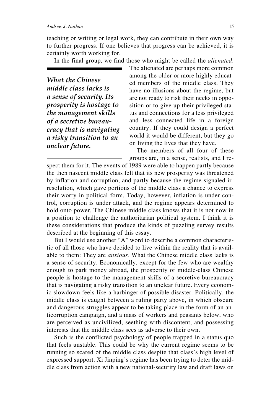teaching or writing or legal work, they can contribute in their own way to further progress. If one believes that progress can be achieved, it is certainly worth working for.

In the final group, we find those who might be called the *alienated.*

*What the Chinese middle class lacks is a sense of security. Its prosperity is hostage to the management skills of a secretive bureaucracy that is navigating a risky transition to an unclear future.* 

The alienated are perhaps more common among the older or more highly educated members of the middle class. They have no illusions about the regime, but are not ready to risk their necks in opposition or to give up their privileged status and connections for a less privileged and less connected life in a foreign country. If they could design a perfect world it would be different, but they go on living the lives that they have.

The members of all four of these groups are, in a sense, realists, and I re-

spect them for it. The events of 1989 were able to happen partly because the then nascent middle class felt that its new prosperity was threatened by inflation and corruption, and partly because the regime signaled irresolution, which gave portions of the middle class a chance to express their worry in political form. Today, however, inflation is under control, corruption is under attack, and the regime appears determined to hold onto power. The Chinese middle class knows that it is not now in a position to challenge the authoritarian political system. I think it is these considerations that produce the kinds of puzzling survey results described at the beginning of this essay.

But I would use another "A" word to describe a common characteristic of all those who have decided to live within the reality that is available to them: They are *anxious.* What the Chinese middle class lacks is a sense of security. Economically, except for the few who are wealthy enough to park money abroad, the prosperity of middle-class Chinese people is hostage to the management skills of a secretive bureaucracy that is navigating a risky transition to an unclear future. Every economic slowdown feels like a harbinger of possible disaster. Politically, the middle class is caught between a ruling party above, in which obscure and dangerous struggles appear to be taking place in the form of an anticorruption campaign, and a mass of workers and peasants below, who are perceived as uncivilized, seething with discontent, and possessing interests that the middle class sees as adverse to their own.

Such is the conflicted psychology of people trapped in a status quo that feels unstable. This could be why the current regime seems to be running so scared of the middle class despite that class's high level of expressed support. Xi Jinping's regime has been trying to deter the middle class from action with a new national-security law and draft laws on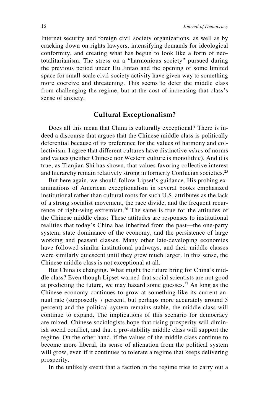Internet security and foreign civil society organizations, as well as by cracking down on rights lawyers, intensifying demands for ideological conformity, and creating what has begun to look like a form of neototalitarianism. The stress on a "harmonious society" pursued during the previous period under Hu Jintao and the opening of some limited space for small-scale civil-society activity have given way to something more coercive and threatening. This seems to deter the middle class from challenging the regime, but at the cost of increasing that class's sense of anxiety.

## **Cultural Exceptionalism?**

Does all this mean that China is culturally exceptional? There is indeed a discourse that argues that the Chinese middle class is politically deferential because of its preference for the values of harmony and collectivism. I agree that different cultures have distinctive *mixes* of norms and values (neither Chinese nor Western culture is monolithic). And it is true, as Tianjian Shi has shown, that values favoring collective interest and hierarchy remain relatively strong in formerly Confucian societies.<sup>25</sup>

But here again, we should follow Lipset's guidance. His probing examinations of American exceptionalism in several books emphasized institutional rather than cultural roots for such U.S. attributes as the lack of a strong socialist movement, the race divide, and the frequent recurrence of right-wing extremism.26 The same is true for the attitudes of the Chinese middle class: These attitudes are responses to institutional realities that today's China has inherited from the past—the one-party system, state dominance of the economy, and the persistence of large working and peasant classes. Many other late-developing economies have followed similar institutional pathways, and their middle classes were similarly quiescent until they grew much larger. In this sense, the Chinese middle class is not exceptional at all.

But China is changing. What might the future bring for China's middle class? Even though Lipset warned that social scientists are not good at predicting the future, we may hazard some guesses.<sup>27</sup> As long as the Chinese economy continues to grow at something like its current annual rate (supposedly 7 percent, but perhaps more accurately around 5 percent) and the political system remains stable, the middle class will continue to expand. The implications of this scenario for democracy are mixed. Chinese sociologists hope that rising prosperity will diminish social conflict, and that a pro-stability middle class will support the regime. On the other hand, if the values of the middle class continue to become more liberal, its sense of alienation from the political system will grow, even if it continues to tolerate a regime that keeps delivering prosperity.

In the unlikely event that a faction in the regime tries to carry out a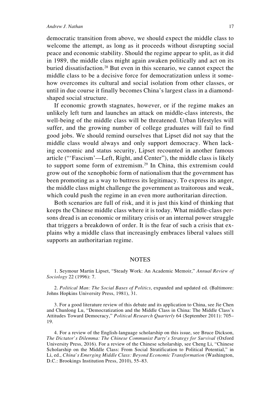democratic transition from above, we should expect the middle class to welcome the attempt, as long as it proceeds without disrupting social peace and economic stability. Should the regime appear to split, as it did in 1989, the middle class might again awaken politically and act on its buried dissatisfaction.28 But even in this scenario, we cannot expect the middle class to be a decisive force for democratization unless it somehow overcomes its cultural and social isolation from other classes, or until in due course it finally becomes China's largest class in a diamondshaped social structure.

If economic growth stagnates, however, or if the regime makes an unlikely left turn and launches an attack on middle-class interests, the well-being of the middle class will be threatened. Urban lifestyles will suffer, and the growing number of college graduates will fail to find good jobs. We should remind ourselves that Lipset did not say that the middle class would always and only support democracy. When lacking economic and status security, Lipset recounted in another famous article ("'Fascism'—Left, Right, and Center"), the middle class is likely to support some form of extremism.29 In China, this extremism could grow out of the xenophobic form of nationalism that the government has been promoting as a way to buttress its legitimacy. To express its anger, the middle class might challenge the government as traitorous and weak, which could push the regime in an even more authoritarian direction.

Both scenarios are full of risk, and it is just this kind of thinking that keeps the Chinese middle class where it is today. What middle-class persons dread is an economic or military crisis or an internal power struggle that triggers a breakdown of order. It is the fear of such a crisis that explains why a middle class that increasingly embraces liberal values still supports an authoritarian regime.

#### **NOTES**

1. Seymour Martin Lipset, "Steady Work: An Academic Memoir," *Annual Review of Sociology* 22 (1996): 7.

2. *Political Man: The Social Bases of Politics*, expanded and updated ed. (Baltimore: Johns Hopkins University Press, 1981), 31.

3. For a good literature review of this debate and its application to China, see Jie Chen and Chunlong Lu, "Democratization and the Middle Class in China: The Middle Class's Attitudes Toward Democracy," *Political Research Quarterly* 64 (September 2011): 705– 19.

4. For a review of the English-language scholarship on this issue, see Bruce Dickson, *The Dictator's Dilemma: The Chinese Communist Party's Strategy for Survival* (Oxford University Press, 2016). For a review of the Chinese scholarship, see Cheng Li, "Chinese Scholarship on the Middle Class: From Social Stratification to Political Potential," in Li, ed., *China's Emerging Middle Class: Beyond Economic Transformation* (Washington, D.C.: Brookings Institution Press, 2010), 55–83.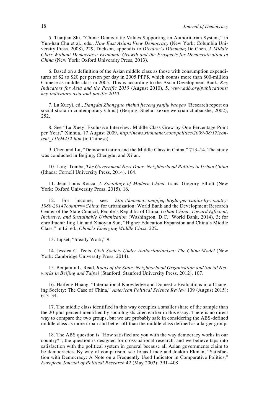5. Tianjian Shi, "China: Democratic Values Supporting an Authoritarian System," in Yun-han Chu et al., eds., *How East Asians View Democracy* (New York: Columbia University Press, 2008)*,* 229; Dickson, appendix to *Dictator's Dilemma*; Jie Chen, *A Middle Class Without Democracy: Economic Growth and the Prospects for Democratization in China* (New York: Oxford University Press, 2013).

6. Based on a definition of the Asian middle class as those with consumption expenditures of \$2 to \$20 per person per day in 2005 PPP\$, which counts more than 800-million Chinese as middle-class in 2005. This is according to the Asian Development Bank, *Key Indicators for Asia and the Pacific 2010* (August 2010), 5, *[www.adb.org/publications/](www.adb.org/publications/key-indicators-asia-and-pacific-2010) [key-indicators-asia-and-pacific-2010](www.adb.org/publications/key-indicators-asia-and-pacific-2010)*.

7. Lu Xueyi, ed., *Dangdai Zhongguo shehui jieceng yanjiu baogao* [Research report on social strata in contemporary China] (Beijing: Shehui kexue wenxian chubanshe, 2002), 252.

8. See "Lu Xueyi Exclusive Interview: Middle Class Grew by One Percentage Point per Year," Xinhua, 17 August 2009, *[http://news.xinhuanet.com/politics/2009-08/17/con](http://news.xinhuanet.com/politics/2009-08/17/content_11894452.htm)[tent\\_11894452.htm](http://news.xinhuanet.com/politics/2009-08/17/content_11894452.htm)* (in Chinese).

9. Chen and Lu, "Democratization and the Middle Class in China," 713–14. The study was conducted in Beijing, Chengdu, and Xi'an.

10. Luigi Tomba, *The Government Next Door: Neighborhood Politics in Urban China*  (Ithaca: Cornell University Press, 2014), 104.

11. Jean-Louis Rocca, *A Sociology of Modern China,* trans. Gregory Elliott (New York: Oxford University Press, 2015), 16.

12. For income, see: *[http://knoema.com/pjeqzh/gdp-per-capita-by-country-](http://knoema.com/pjeqzh/gdp-per-capita-by-country-1980-2014?country=China)[1980-2014?country=China](http://knoema.com/pjeqzh/gdp-per-capita-by-country-1980-2014?country=China)*; for urbanization: World Bank and the Development Research Center of the State Council, People's Republic of China, *Urban China: Toward Efficient, Inclusive, and Sustainable Urbanization* (Washington, D.C.: World Bank, 2014), 3; for enrollment: Jing Lin and Xiaoyan Sun, "Higher Education Expansion and China's Middle Class," in Li, ed., *China's Emerging Middle Class,* 222.

13. Lipset, "Steady Work," 9.

14. Jessica C. Teets, *Civil Society Under Authoritarianism: The China Model* (New York: Cambridge University Press, 2014).

15. Benjamin L. Read, *Roots of the State: Neighborhood Organization and Social Networks in Beijing and Taipei* (Stanford: Stanford University Press, 2012), 107.

16. Haifeng Huang, "International Knowledge and Domestic Evaluations in a Changing Society: The Case of China," *American Political Science Review* 109 (August 2015): 613–34.

17. The middle class identified in this way occupies a smaller share of the sample than the 20-plus percent identified by sociologists cited earlier in this essay. There is no direct way to compare the two groups, but we are probably safe in considering the ABS-defined middle class as more urban and better off than the middle class defined as a larger group.

18. The ABS question is "How satisfied are you with the way democracy works in our country?"; the question is designed for cross-national research, and we believe taps into satisfaction with the political system in general because all Asian governments claim to be democracies. By way of comparison, see Jonas Linde and Joakim Ekman, "Satisfaction with Democracy: A Note on a Frequently Used Indicator in Comparative Politics," *European Journal of Political Research* 42 (May 2003): 391–408.